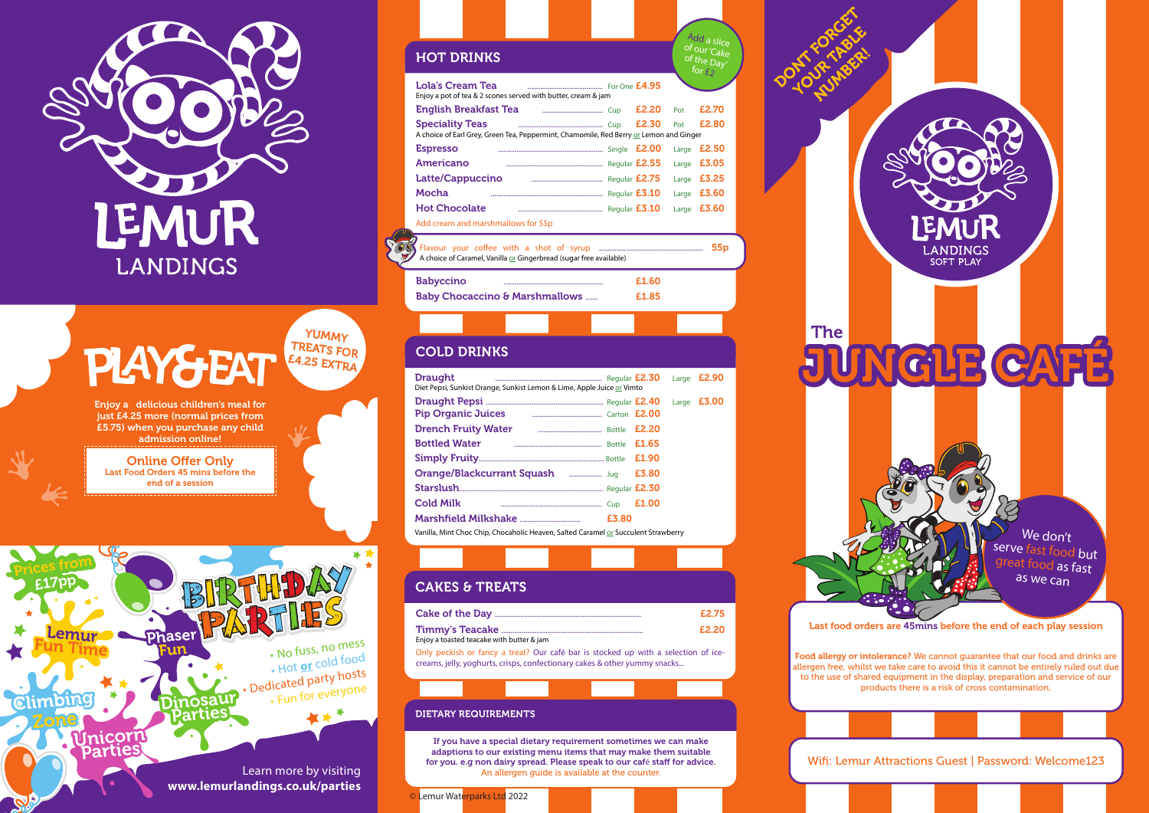

# **PIAY&EAT**



Lola's Cream Tea ......................................... For One £4.95 Enjoy a pot of tea & 2 scones served with butter, cream & jam English Breakfast Tea ................................. Cup £2.20 Pot £2.70 Speciality Teas .............................................. Cup £2.30 Pot £2.80 A choice of Earl Grey, Green Tea, Peppermint, Chamomile, Red Berry or Lemon and Ginger Espresso ......................................................... Single £2.00 Large £2.50 Americano ..................................................... Regular £2.55 Large £3.05 Latte/Cappuccino ....................................... Regular £2.75 Large £3.25 Mocha ............................................................. Regular £3.10 Large £3.60 Hot Chocolate .............................................. Regular £3.10 Large £3.60 Add cream and marshmallows for 55p for  $_{E2}$ 

YUMMY TREATS FOR £4.25 EXTRA

Online Offer Only Last Food Orders 45 mins before the end of a session

Enjoy a delicious children's meal for just £4.25 more (normal prices from £5.75) when you purchase any child admission online!

Babyccino ...................................................... £1.60 Baby Chocaccino & Marshmallows ....... **E1.85** 

Flavour your coffee with a shot of syrup .......................................................... 55p A choice of Caramel, Vanilla or Gingerbread (sugar free available)

Add a slic of our 'Cake of the Day'

| <b>Draught</b><br>Diet Pepsi, Sunkist Orange, Sunkist Lemon & Lime, Apple Juice or Vimto |       |       | Large <b>£2.90</b> |
|------------------------------------------------------------------------------------------|-------|-------|--------------------|
|                                                                                          |       |       | Large <b>£3.00</b> |
| Pip Organic Juices <b>Fig. 2008</b> Carton <b>£2.00</b>                                  |       |       |                    |
| <b>Drench Fruity Water</b>                                                               |       | E2.20 |                    |
| <b>Bottled Water</b>                                                                     |       | £1.65 |                    |
|                                                                                          |       | £1.90 |                    |
|                                                                                          |       | £3.80 |                    |
|                                                                                          |       |       |                    |
| <b>Cold Milk</b>                                                                         |       | £1.00 |                    |
|                                                                                          | £3.80 |       |                    |
| Vanilla, Mint Choc Chip, Chocaholic Heaven, Salted Caramel or Succulent Strawberry       |       |       |                    |

# HOT DRINKS

Only peckish or fancy a treat? Our café bar is stocked up with a selection of icecreams, jelly, yoghurts, crisps, confectionary cakes & other yummy snacks... creams, jelly, yoghurts, crisps, confectionary cakes & other yummy snacks...

If you have a special dietary requirement sometimes we can make adaptions to our existing menu items that may make them suitable for you. e.g non dairy spread. Please speak to our café staff for advice. An allergen guide is available at the counter.

Food allergy or intolerance? We cannot guarantee that our food and drinks are allergen free, whilst we take care to avoid this it cannot be entirely ruled out due to the use of shared equipment in the display, preparation and service of our products there is a risk of cross contamination.



### COLD DRINKS

|                                           | £2.75 |
|-------------------------------------------|-------|
|                                           | £2.20 |
| Enjoy a toasted teacake with butter & jam |       |

# CAKES & TREATS

#### DIETARY REQUIREMENTS

Last food orders are 45mins before the end of each play session

The

OCEAN FORGET

Wifi: Lemur Attractions Guest | Password: Welcome123